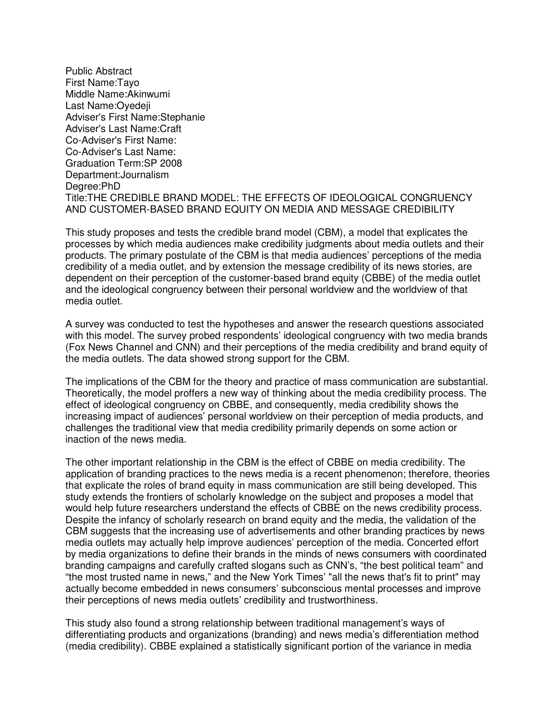Public Abstract First Name:Tayo Middle Name:Akinwumi Last Name:Oyedeji Adviser's First Name:Stephanie Adviser's Last Name:Craft Co-Adviser's First Name: Co-Adviser's Last Name: Graduation Term:SP 2008 Department:Journalism Degree:PhD Title:THE CREDIBLE BRAND MODEL: THE EFFECTS OF IDEOLOGICAL CONGRUENCY AND CUSTOMER-BASED BRAND EQUITY ON MEDIA AND MESSAGE CREDIBILITY

This study proposes and tests the credible brand model (CBM), a model that explicates the processes by which media audiences make credibility judgments about media outlets and their products. The primary postulate of the CBM is that media audiences' perceptions of the media credibility of a media outlet, and by extension the message credibility of its news stories, are dependent on their perception of the customer-based brand equity (CBBE) of the media outlet and the ideological congruency between their personal worldview and the worldview of that media outlet.

A survey was conducted to test the hypotheses and answer the research questions associated with this model. The survey probed respondents' ideological congruency with two media brands (Fox News Channel and CNN) and their perceptions of the media credibility and brand equity of the media outlets. The data showed strong support for the CBM.

The implications of the CBM for the theory and practice of mass communication are substantial. Theoretically, the model proffers a new way of thinking about the media credibility process. The effect of ideological congruency on CBBE, and consequently, media credibility shows the increasing impact of audiences' personal worldview on their perception of media products, and challenges the traditional view that media credibility primarily depends on some action or inaction of the news media.

The other important relationship in the CBM is the effect of CBBE on media credibility. The application of branding practices to the news media is a recent phenomenon; therefore, theories that explicate the roles of brand equity in mass communication are still being developed. This study extends the frontiers of scholarly knowledge on the subject and proposes a model that would help future researchers understand the effects of CBBE on the news credibility process. Despite the infancy of scholarly research on brand equity and the media, the validation of the CBM suggests that the increasing use of advertisements and other branding practices by news media outlets may actually help improve audiences' perception of the media. Concerted effort by media organizations to define their brands in the minds of news consumers with coordinated branding campaigns and carefully crafted slogans such as CNN's, "the best political team" and "the most trusted name in news," and the New York Times' "all the news that's fit to print" may actually become embedded in news consumers' subconscious mental processes and improve their perceptions of news media outlets' credibility and trustworthiness.

This study also found a strong relationship between traditional management's ways of differentiating products and organizations (branding) and news media's differentiation method (media credibility). CBBE explained a statistically significant portion of the variance in media